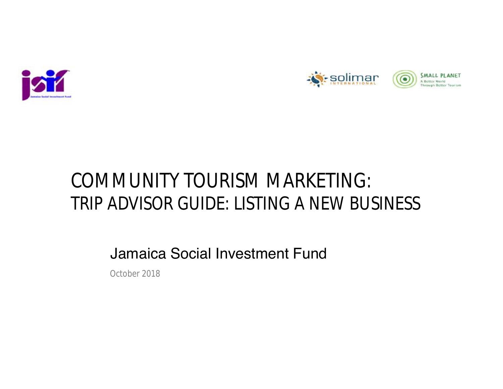



# COMMUNITY TOURISM MARKETING: TRIP ADVISOR GUIDE: LISTING A NEW BUSINESS

Jamaica Social Investment Fund

October 2018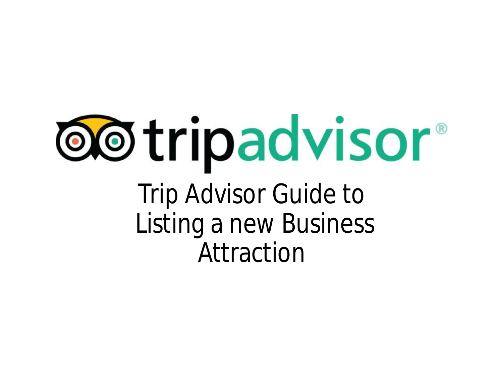# **@@tripadvisor®** Trip Advisor Guide to

Listing a new Business Attraction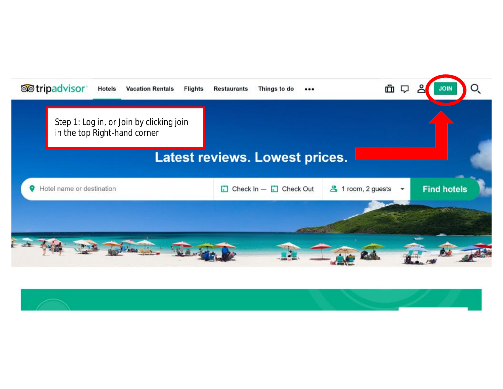

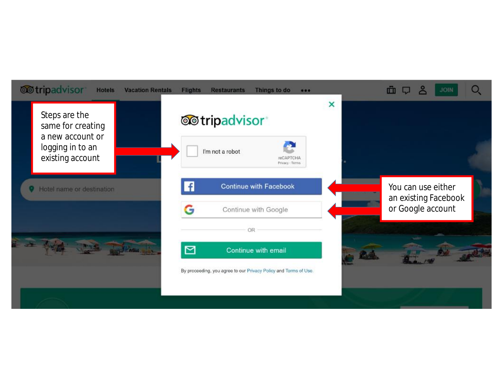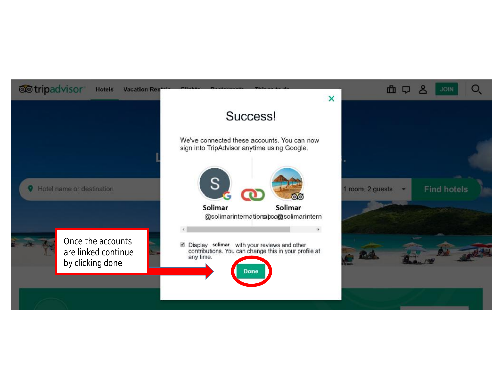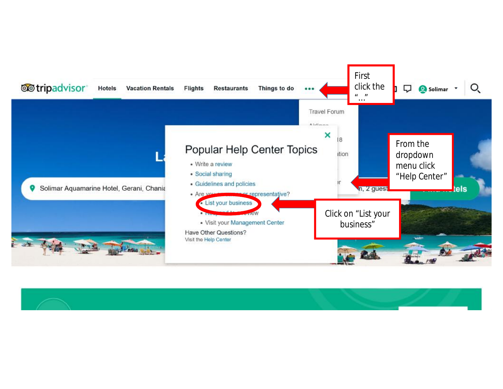

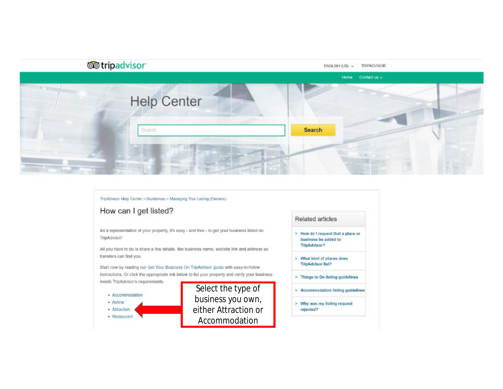

#### TripAdvisor Help Center > Guidelines > Managing Your Listing (Owners)

### How can I get listed?

As a representative of your property, it's easy - and free - to get your business listed on TripAdvisor!

All you have to do is share a few details, like business name, website link and address so travelers can find you.

Start now by reading our Get Your Business On TripAdvisor guide with easy-to-follow instructions. Or click the appropriate link below to list your property and verify your business meets TripAdvisor's requirements.



#### Related articles

- > How do I request that a place or business be added to TripAdvisor?
- > What kind of places does **TripAdvisor list?**
- > Things to Do listing guidelines
- > Accommodation listing guidelines
- > Why was my listing request rejected?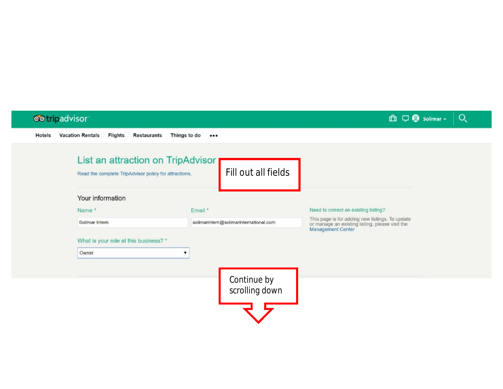# **OO** tripadvisor 血口Q solimar - $Q_{\rm c}$ Hotels Vacation Rentals Flights Restaurants Things to do \*\*\* List an attraction on TripAdvisor Fill out all fields Read the complete TripAdvisor policy for attractions. Your information Need to correct an existing listing? Name\* Email \* This page is for adding new listings. To update<br>or manage an existing listing, please visit the Solimar Intern solimarintern@solimarinternational.com Management Center What is your role at this business? \* Owner  $\mathbf{v}$ Continue by scrolling down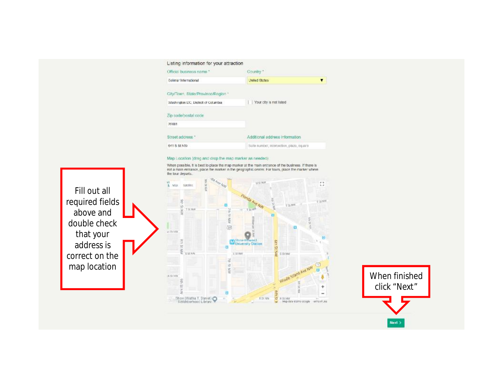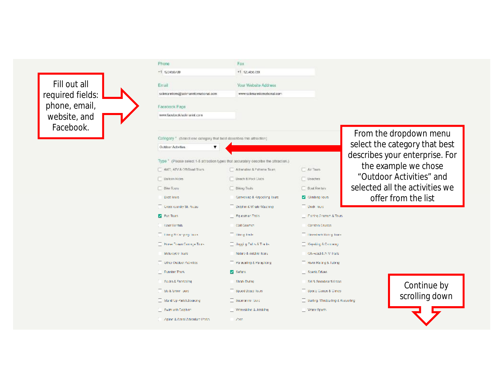

Phone

Fax

| +1 123456709                                                                               | +1 123456709                                                                         |                                  |                                                         |
|--------------------------------------------------------------------------------------------|--------------------------------------------------------------------------------------|----------------------------------|---------------------------------------------------------|
| Email                                                                                      | Your Website Address                                                                 |                                  |                                                         |
| schmanntem@solimanntemational.com                                                          | www.solmanntemational.com                                                            |                                  |                                                         |
| Facebook Page                                                                              |                                                                                      |                                  |                                                         |
| www.facebook/soliniarint.com                                                               |                                                                                      |                                  |                                                         |
| Category * (Selectione category that best describes this attraction)<br>Outdoor Activities |                                                                                      |                                  | From the dropdown menu<br>select the category that best |
|                                                                                            | Type * (Please select 1-5 attraction types that accurately describe the attraction.) |                                  | describes your enterprise. For                          |
| 4WC, ATV & Off-Road Tours                                                                  | Adverating & Extreme Tours                                                           | Ar Tours                         | the example we chose                                    |
| <b>Usicon Rides</b>                                                                        | <b>Usech &amp; Pool Clubs</b>                                                        | <b>Usaches</b>                   | "Outdoor Activities" and                                |
| <b>Biker Tours</b>                                                                         | Bloom Trees                                                                          | <b>Bud Rentars</b>               | selected all the activities we                          |
| Boot Tours                                                                                 | Canyoning & Reporting Tours                                                          | Climbing Tours                   | offer from the list                                     |
| Cross country Ski Arcas                                                                    | Dolphin & Whate Watering                                                             | Duck lours                       |                                                         |
| <b>P</b> For Tours                                                                         | Fquestrian Trolls                                                                    | Fishing Charters & Tours         |                                                         |
| Genr Gentols                                                                               | Oolf Courses                                                                         | Condola Cruises                  |                                                         |
| Dang & Cemping Tours                                                                       | <b>Librig Torle</b>                                                                  | <b>Thoseber's Rating Tours</b>   |                                                         |
| <b>Forse Disaan Carriage Tours</b>                                                         | Uniquity Pallis & The ks                                                             | Kayaking & Canadian              |                                                         |
| Melorovere franc                                                                           | Nature & Wildhiel lours.                                                             | Off-Read & ATM Trails            |                                                         |
| Other Outdoor Activities                                                                   | Parasaling & Parapiding                                                              | River Ralting & Tubing           |                                                         |
| <b>Funning Tours</b>                                                                       | <b>Sears</b>                                                                         | Scenk Eitves                     |                                                         |
| Scubb & Snortcaling                                                                        | Shark Diving                                                                         | SM & Snowboard Areas             | Continue by                                             |
| Ski & Show Tours                                                                           | Spood Boats Tours                                                                    | Sports Camps & Cimics            |                                                         |
| Stand Up Paddicboarding                                                                    | Submarino lours                                                                      | Surling, Window Imp & Kitcouring | scrolling down                                          |
| Swim with Dolphins                                                                         | Witterskilling & Jefskilling                                                         | Water Sports                     |                                                         |
| Apline & Abriel Adventure Parks.                                                           | 2000                                                                                 |                                  |                                                         |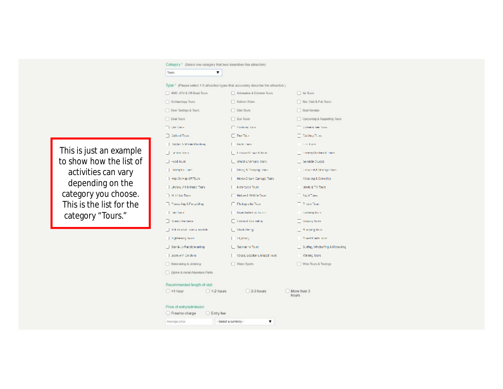#### Category \* (Select one category that best describes this attraction)  $\mathbf{v}$

Tours

This is just an example to show how the list of activities can vary depending on the category you choose. This is the list for the category "Tours."

Type \* (Please select 1-5 attraction types that accurately describe the attraction.)

| 4WD, ATV & DE-Road Tours           |              | Attenuting & Extreme Tours           | Ae Tours                            |
|------------------------------------|--------------|--------------------------------------|-------------------------------------|
| Archaeology Tours                  |              | <b>Balloon Ridge</b>                 | Bar. Club & Pub Tours               |
| <b>Eeer Tastings &amp; Tours</b>   |              | Base Tours                           | Boat Rentals                        |
| <b>EGAL</b> Tours                  |              | <b>But Tours</b>                     | Canyoning & Rappelting Tours        |
| TE WINDS                           |              | <b>Committee</b>                     | <b>CONTRACTION TODAY</b>            |
| Cultural Trens.                    |              | <b>Chas Trip</b>                     | <b>Collins Ran</b>                  |
| Libriche N.Wask-Waching            |              | <b>Turk loans</b>                    | Los Fars                            |
| <b>Lantary letter</b>              |              | <b>Land on Notary &amp; Jours</b>    | <b>Listang Coulses &amp; Trains</b> |
| -ood lours                         |              | <b>Ell Ghost &amp; Vampire Teurs</b> | C Gondela Oruses                    |
| [1] Holespler Fores                |              | Thomas Company Years                 | [1] Teturest & Britisip True        |
| Hop-On Hop-Off Tours               |              | Herse-Drown Camiage Tours            | Koyaking & Concelha                 |
| Literary, Art & Nusic Tours        |              | Motorcycle Tours                     | Movie & TV Tours                    |
| Milliday Tours                     |              | Nature & Wildlie Tours               | <b>C. Agid Taus</b>                 |
| <b>Concerting &amp; Progriding</b> |              | Final speeding Teams                 | <b>Private Tours</b>                |
| <b>Coll Lange</b>                  |              | <b>Rear Refine &amp; Incere-</b>     | Romang Tours                        |
| <b>CONTROL</b>                     |              | The decision of Street College       | Geipper Tribe                       |
| Sell Grahal Tours & Strable        |              | <b>E. Shark Diving</b>               | Sciences have                       |
| Sobbeam lines                      |              | <b>Cleptioner</b>                    | <b>Scient Predy Trains</b>          |
| 3tand-Up Fadelcboarding            |              | Submarine Tours                      | 3. rfng, Windsuring & Kittsuring    |
| Swm with Dolphins                  |              | Vospe, Goodbrid Moped Tours          | [1] Walling lours                   |
| Wetersking & Jetsking              |              | Water Sports                         | Wire Tours & Taylings               |
| Zipine & Asrial Adventure Parks    |              |                                      |                                     |
| Recommended length of visit        |              |                                      |                                     |
| $\sim$ thour                       | $-1.2$ hours | 2-3 hours                            | More than 3<br>hours                |
| Price of entry/admission           |              |                                      |                                     |
| Entertainment Filming from         |              |                                      |                                     |

-Select a currency-Average price

 $\pmb{\mathrm{v}}$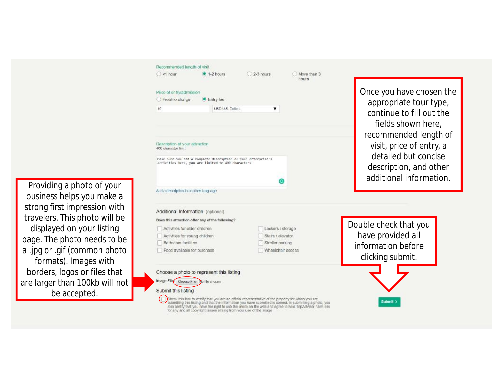

Providing a photo of your business helps you make a strong first impression with travelers. This photo will be displayed on your listing page. The photo needs to be a .j pg or .gif ( commo n ph o to formats). Images with borders, logos or files that are larger than 100kb will not be accepted.